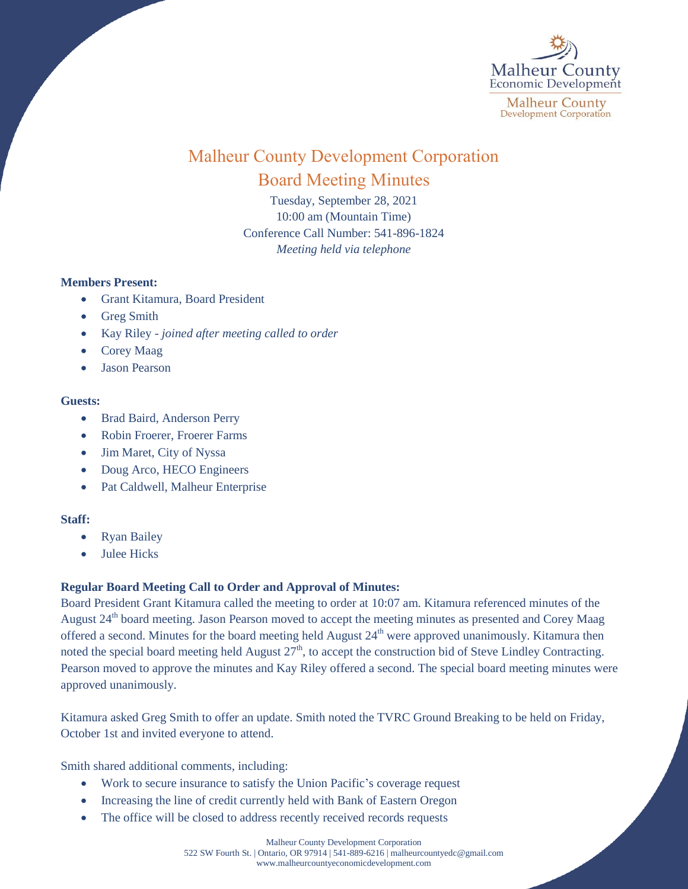

# Malheur County Development Corporation Board Meeting Minutes

Tuesday, September 28, 2021 10:00 am (Mountain Time) Conference Call Number: 541-896-1824 *Meeting held via telephone*

## **Members Present:**

- Grant Kitamura, Board President
- Greg Smith
- Kay Riley *joined after meeting called to order*
- Corey Maag
- Jason Pearson

#### **Guests:**

- Brad Baird, Anderson Perry
- Robin Froerer, Froerer Farms
- Jim Maret, City of Nyssa
- Doug Arco, HECO Engineers
- Pat Caldwell, Malheur Enterprise

## **Staff:**

- Ryan Bailey
- Julee Hicks

# **Regular Board Meeting Call to Order and Approval of Minutes:**

Board President Grant Kitamura called the meeting to order at 10:07 am. Kitamura referenced minutes of the August 24<sup>th</sup> board meeting. Jason Pearson moved to accept the meeting minutes as presented and Corey Maag offered a second. Minutes for the board meeting held August  $24<sup>th</sup>$  were approved unanimously. Kitamura then noted the special board meeting held August  $27<sup>th</sup>$ , to accept the construction bid of Steve Lindley Contracting. Pearson moved to approve the minutes and Kay Riley offered a second. The special board meeting minutes were approved unanimously.

Kitamura asked Greg Smith to offer an update. Smith noted the TVRC Ground Breaking to be held on Friday, October 1st and invited everyone to attend.

Smith shared additional comments, including:

- Work to secure insurance to satisfy the Union Pacific's coverage request
- Increasing the line of credit currently held with Bank of Eastern Oregon
- The office will be closed to address recently received records requests